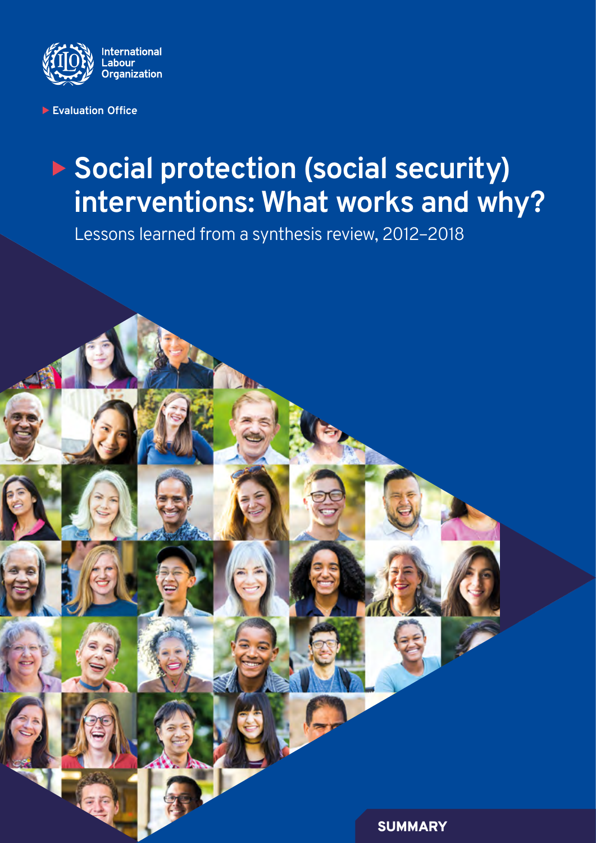

**Evaluation Office**

## ▶ Social protection (social security) **interventions: What works and why?**

Lessons learned from a synthesis review, 2012–2018

**SUMMARY**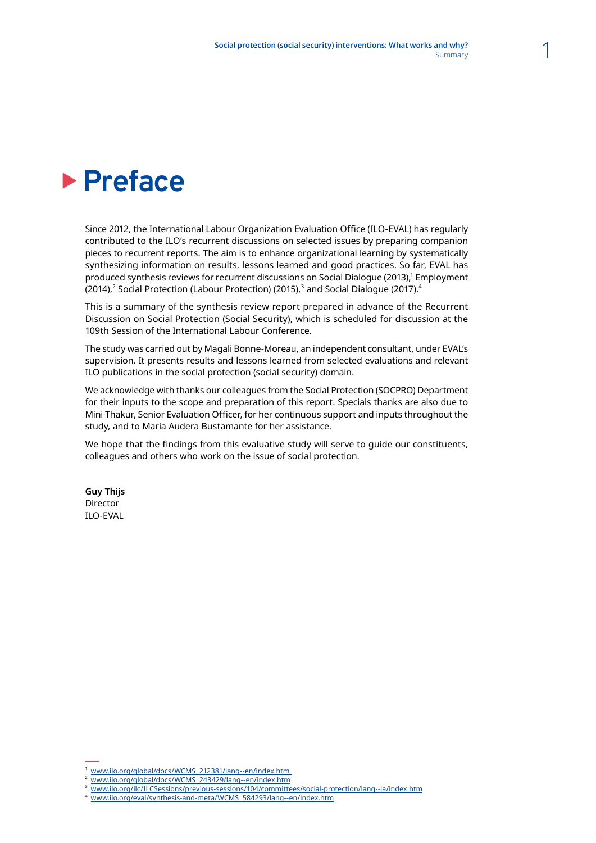## **Preface**

Since 2012, the International Labour Organization Evaluation Office (ILO-EVAL) has regularly contributed to the ILO's recurrent discussions on selected issues by preparing companion pieces to recurrent reports. The aim is to enhance organizational learning by systematically synthesizing information on results, lessons learned and good practices. So far, EVAL has produced synthesis reviews for recurrent discussions on Social Dialogue (2013),<sup>1</sup> Employment (2014), $^{\rm 2}$  Social Protection (Labour Protection) (2015), $^{\rm 3}$  and Social Dialogue (2017). $^{\rm 4}$ 

This is a summary of the synthesis review report prepared in advance of the Recurrent Discussion on Social Protection (Social Security), which is scheduled for discussion at the 109th Session of the International Labour Conference.

The study was carried out by Magali Bonne-Moreau, an independent consultant, under EVAL's supervision. It presents results and lessons learned from selected evaluations and relevant ILO publications in the social protection (social security) domain.

We acknowledge with thanks our colleagues from the Social Protection (SOCPRO) Department for their inputs to the scope and preparation of this report. Specials thanks are also due to Mini Thakur, Senior Evaluation Officer, for her continuous support and inputs throughout the study, and to Maria Audera Bustamante for her assistance.

We hope that the findings from this evaluative study will serve to guide our constituents, colleagues and others who work on the issue of social protection.

**Guy Thijs** Director ILO-EVAL

- <sup>3</sup> www.ilo.org/ilc/ILCSessions/previous-sessions/104/committees/social-protection/lang--ja/index.htm
- www.ilo.org/eval/synthesis-and-meta/WCMS\_584293/lang--en/index.htm

<sup>1</sup> www.ilo.org/global/docs/WCMS\_212381/lang--en/index.htm 2 www.ilo.org/global/docs/WCMS\_243429/lang--en/index.htm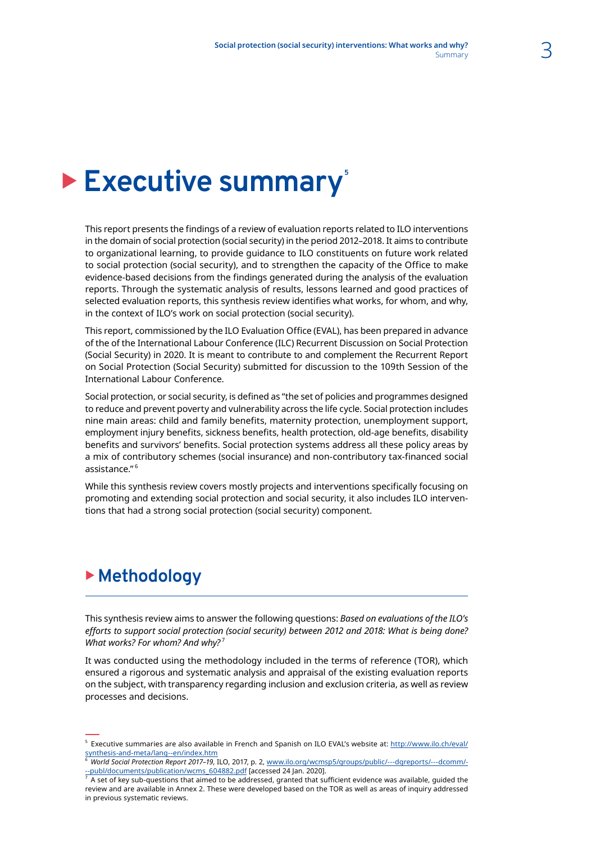## Executive summary<sup>®</sup>

This report presents the findings of a review of evaluation reports related to ILO interventions in the domain of social protection (social security) in the period 2012–2018. It aims to contribute to organizational learning, to provide guidance to ILO constituents on future work related to social protection (social security), and to strengthen the capacity of the Office to make evidence-based decisions from the findings generated during the analysis of the evaluation reports. Through the systematic analysis of results, lessons learned and good practices of selected evaluation reports, this synthesis review identifies what works, for whom, and why, in the context of ILO's work on social protection (social security).

This report, commissioned by the ILO Evaluation Office (EVAL), has been prepared in advance of the of the International Labour Conference (ILC) Recurrent Discussion on Social Protection (Social Security) in 2020. It is meant to contribute to and complement the Recurrent Report on Social Protection (Social Security) submitted for discussion to the 109th Session of the International Labour Conference.

Social protection, or social security, is defined as "the set of policies and programmes designed to reduce and prevent poverty and vulnerability across the life cycle. Social protection includes nine main areas: child and family benefits, maternity protection, unemployment support, employment injury benefits, sickness benefits, health protection, old-age benefits, disability benefits and survivors' benefits. Social protection systems address all these policy areas by a mix of contributory schemes (social insurance) and non-contributory tax-financed social assistance." 6

While this synthesis review covers mostly projects and interventions specifically focusing on promoting and extending social protection and social security, it also includes ILO interventions that had a strong social protection (social security) component.

## <sup>X</sup> **Methodology**

This synthesis review aims to answer the following questions: *Based on evaluations of the ILO's efforts to support social protection (social security) between 2012 and 2018: What is being done? What works? For whom? And why?*<sup>7</sup>

It was conducted using the methodology included in the terms of reference (TOR), which ensured a rigorous and systematic analysis and appraisal of the existing evaluation reports on the subject, with transparency regarding inclusion and exclusion criteria, as well as review processes and decisions.

<sup>&</sup>lt;sup>5</sup> Executive summaries are also available in French and Spanish on ILO EVAL's website at: [http://www.ilo.ch/eval/](http://www.ilo.ch/eval/synthesis-and-meta/lang--en/index.htm) [synthesis-and-meta/lang--en/index.htm](http://www.ilo.ch/eval/synthesis-and-meta/lang--en/index.htm)

<sup>6</sup> *World Social Protection Report 2017–19*, ILO, 2017, p. 2, www.ilo.org/wcmsp5/groups/public/---dgreports/---dcomm/-

<sup>&</sup>lt;u>--publ/documents/publication/wcms\_604882.pdf</u> [accessed 24 Jan. 2020].<br><sup>7</sup> A set of key sub-questions that aimed to be addressed, granted that sufficient evidence was available, guided the review and are available in Annex 2. These were developed based on the TOR as well as areas of inquiry addressed in previous systematic reviews.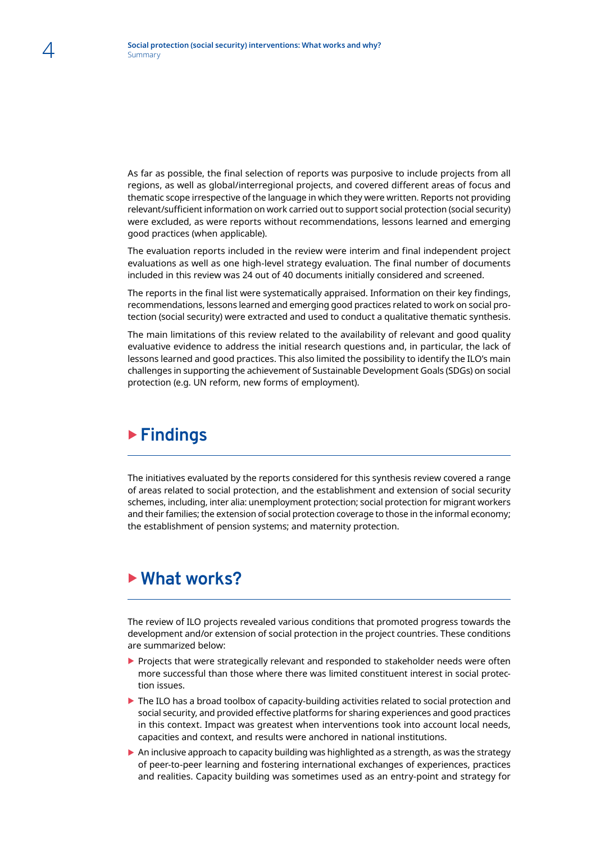As far as possible, the final selection of reports was purposive to include projects from all regions, as well as global/interregional projects, and covered different areas of focus and thematic scope irrespective of the language in which they were written. Reports not providing relevant/sufficient information on work carried out to support social protection (social security) were excluded, as were reports without recommendations, lessons learned and emerging good practices (when applicable).

The evaluation reports included in the review were interim and final independent project evaluations as well as one high-level strategy evaluation. The final number of documents included in this review was 24 out of 40 documents initially considered and screened.

The reports in the final list were systematically appraised. Information on their key findings, recommendations, lessons learned and emerging good practices related to work on social protection (social security) were extracted and used to conduct a qualitative thematic synthesis.

The main limitations of this review related to the availability of relevant and good quality evaluative evidence to address the initial research questions and, in particular, the lack of lessons learned and good practices. This also limited the possibility to identify the ILO's main challenges in supporting the achievement of Sustainable Development Goals (SDGs) on social protection (e.g. UN reform, new forms of employment).

#### ▶ Findings

The initiatives evaluated by the reports considered for this synthesis review covered a range of areas related to social protection, and the establishment and extension of social security schemes, including, inter alia: unemployment protection; social protection for migrant workers and their families; the extension of social protection coverage to those in the informal economy; the establishment of pension systems; and maternity protection.

#### ▶ What works?

The review of ILO projects revealed various conditions that promoted progress towards the development and/or extension of social protection in the project countries. These conditions are summarized below:

- $\blacktriangleright$  Projects that were strategically relevant and responded to stakeholder needs were often more successful than those where there was limited constituent interest in social protection issues.
- $\blacktriangleright$  The ILO has a broad toolbox of capacity-building activities related to social protection and social security, and provided effective platforms for sharing experiences and good practices in this context. Impact was greatest when interventions took into account local needs, capacities and context, and results were anchored in national institutions.
- $\triangleright$  An inclusive approach to capacity building was highlighted as a strength, as was the strategy of peer-to-peer learning and fostering international exchanges of experiences, practices and realities. Capacity building was sometimes used as an entry-point and strategy for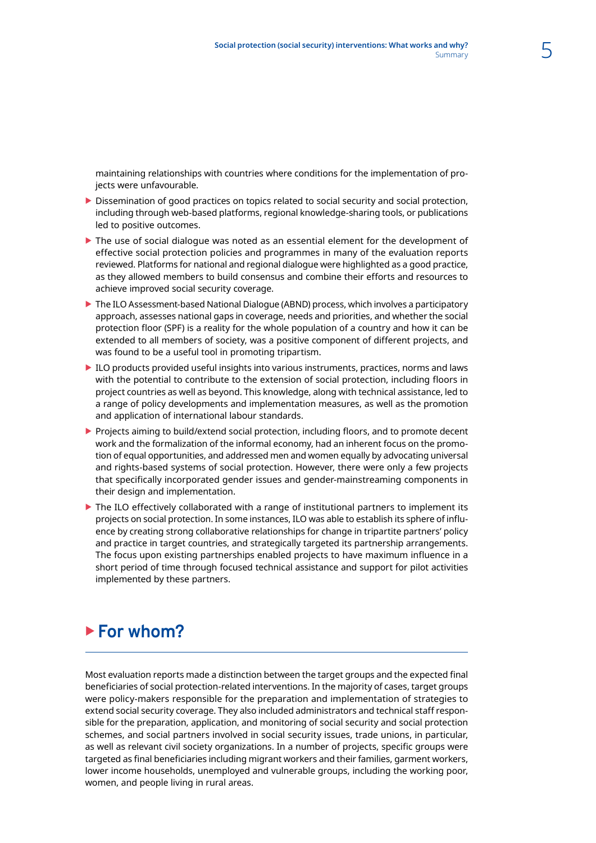maintaining relationships with countries where conditions for the implementation of projects were unfavourable.

- $\triangleright$  Dissemination of good practices on topics related to social security and social protection, including through web-based platforms, regional knowledge-sharing tools, or publications led to positive outcomes.
- $\blacktriangleright$  The use of social dialogue was noted as an essential element for the development of effective social protection policies and programmes in many of the evaluation reports reviewed. Platforms for national and regional dialogue were highlighted as a good practice, as they allowed members to build consensus and combine their efforts and resources to achieve improved social security coverage.
- The ILO Assessment-based National Dialogue (ABND) process, which involves a participatory approach, assesses national gaps in coverage, needs and priorities, and whether the social protection floor (SPF) is a reality for the whole population of a country and how it can be extended to all members of society, was a positive component of different projects, and was found to be a useful tool in promoting tripartism.
- $\blacktriangleright$  ILO products provided useful insights into various instruments, practices, norms and laws with the potential to contribute to the extension of social protection, including floors in project countries as well as beyond. This knowledge, along with technical assistance, led to a range of policy developments and implementation measures, as well as the promotion and application of international labour standards.
- **>** Projects aiming to build/extend social protection, including floors, and to promote decent work and the formalization of the informal economy, had an inherent focus on the promotion of equal opportunities, and addressed men and women equally by advocating universal and rights-based systems of social protection. However, there were only a few projects that specifically incorporated gender issues and gender-mainstreaming components in their design and implementation.
- $\triangleright$  The ILO effectively collaborated with a range of institutional partners to implement its projects on social protection. In some instances, ILO was able to establish its sphere of influence by creating strong collaborative relationships for change in tripartite partners' policy and practice in target countries, and strategically targeted its partnership arrangements. The focus upon existing partnerships enabled projects to have maximum influence in a short period of time through focused technical assistance and support for pilot activities implemented by these partners.

### ▶ For whom?

Most evaluation reports made a distinction between the target groups and the expected final beneficiaries of social protection-related interventions. In the majority of cases, target groups were policy-makers responsible for the preparation and implementation of strategies to extend social security coverage. They also included administrators and technical staff responsible for the preparation, application, and monitoring of social security and social protection schemes, and social partners involved in social security issues, trade unions, in particular, as well as relevant civil society organizations. In a number of projects, specific groups were targeted as final beneficiaries including migrant workers and their families, garment workers, lower income households, unemployed and vulnerable groups, including the working poor, women, and people living in rural areas.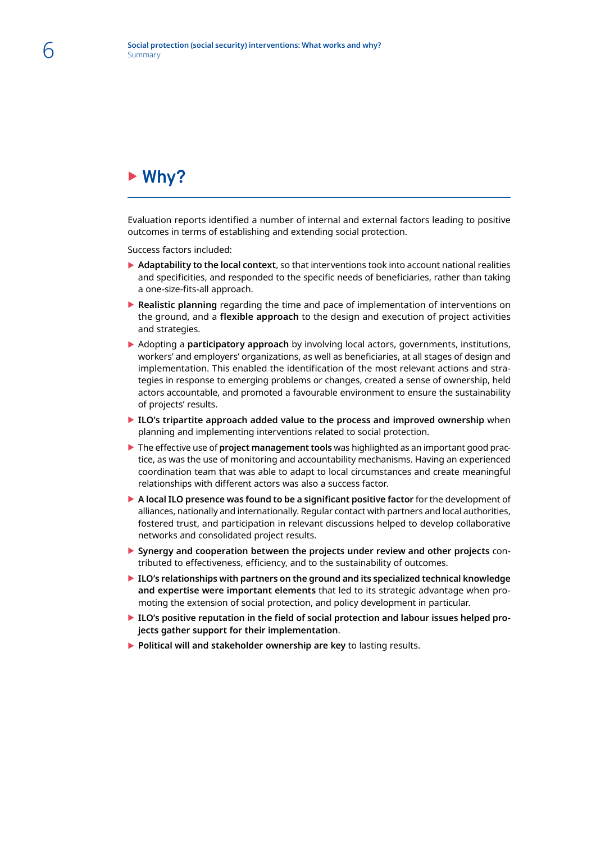## ► Why?

Evaluation reports identified a number of internal and external factors leading to positive outcomes in terms of establishing and extending social protection.

Success factors included:

- **Adaptability to the local context**, so that interventions took into account national realities and specificities, and responded to the specific needs of beneficiaries, rather than taking a one-size-fits-all approach.
- **EX Realistic planning** regarding the time and pace of implementation of interventions on the ground, and a **flexible approach** to the design and execution of project activities and strategies.
- **EX Adopting a participatory approach** by involving local actors, governments, institutions, workers' and employers' organizations, as well as beneficiaries, at all stages of design and implementation. This enabled the identification of the most relevant actions and strategies in response to emerging problems or changes, created a sense of ownership, held actors accountable, and promoted a favourable environment to ensure the sustainability of projects' results.
- **ILO's tripartite approach added value to the process and improved ownership** when planning and implementing interventions related to social protection.
- **The effective use of project management tools** was highlighted as an important good practice, as was the use of monitoring and accountability mechanisms. Having an experienced coordination team that was able to adapt to local circumstances and create meaningful relationships with different actors was also a success factor.
- ▶ A local ILO presence was found to be a significant positive factor for the development of alliances, nationally and internationally. Regular contact with partners and local authorities, fostered trust, and participation in relevant discussions helped to develop collaborative networks and consolidated project results.
- ▶ Synergy and cooperation between the projects under review and other projects contributed to effectiveness, efficiency, and to the sustainability of outcomes.
- ▶ ILO's relationships with partners on the ground and its specialized technical knowledge **and expertise were important elements** that led to its strategic advantage when promoting the extension of social protection, and policy development in particular.
- ILO's positive reputation in the field of social protection and labour issues helped pro**jects gather support for their implementation**.
- **Political will and stakeholder ownership are key** to lasting results.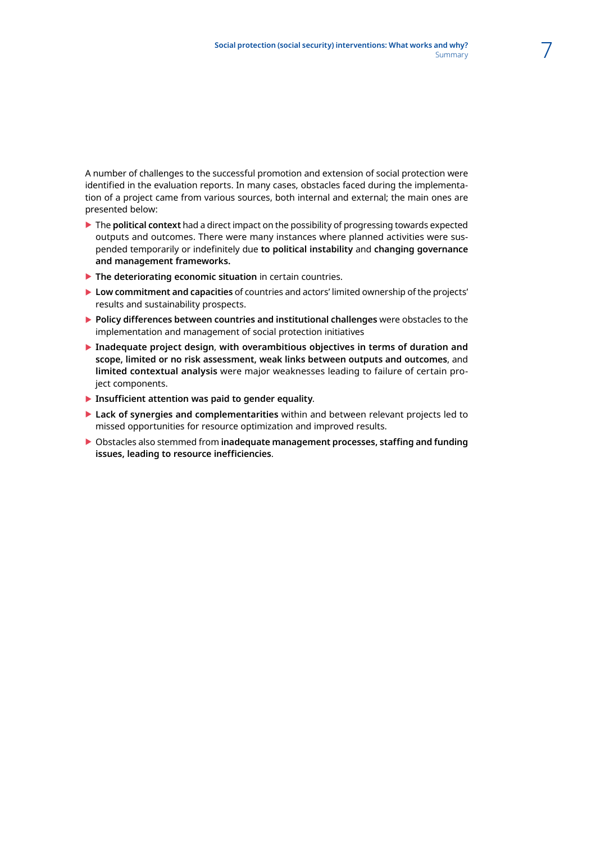A number of challenges to the successful promotion and extension of social protection were identified in the evaluation reports. In many cases, obstacles faced during the implementation of a project came from various sources, both internal and external; the main ones are presented below:

- ▶ The **political context** had a direct impact on the possibility of progressing towards expected outputs and outcomes. There were many instances where planned activities were suspended temporarily or indefinitely due **to political instability** and **changing governance and management frameworks.**
- **The deteriorating economic situation** in certain countries.
- **Low commitment and capacities** of countries and actors' limited ownership of the projects' results and sustainability prospects.
- **Policy differences between countries and institutional challenges** were obstacles to the implementation and management of social protection initiatives
- ▶ Inadequate project design, with overambitious objectives in terms of duration and **scope, limited or no risk assessment, weak links between outputs and outcomes**, and **limited contextual analysis** were major weaknesses leading to failure of certain project components.
- **Insufficient attention was paid to gender equality.**
- ▶ Lack of synergies and complementarities within and between relevant projects led to missed opportunities for resource optimization and improved results.
- ▶ Obstacles also stemmed from **inadequate management processes, staffing and funding issues, leading to resource inefficiencies**.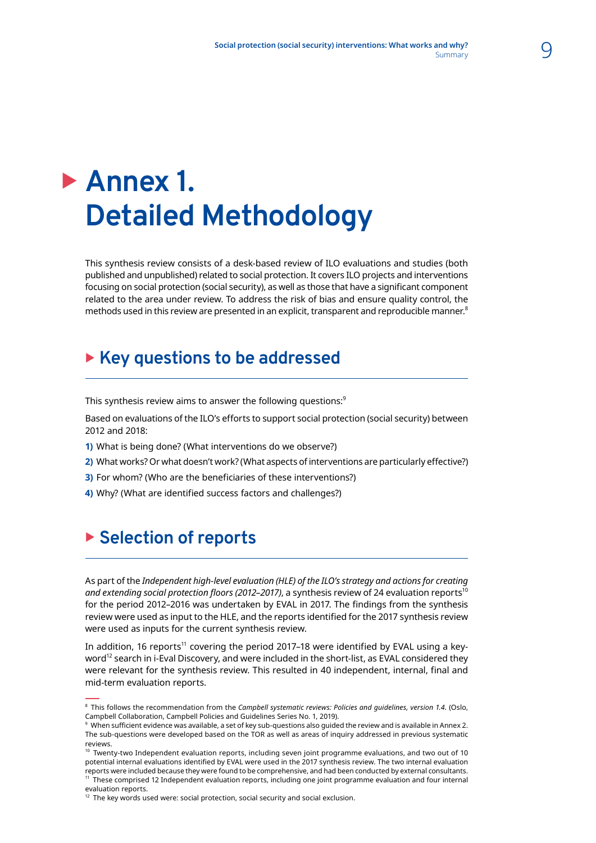# **Annex 1. Detailed Methodology**

This synthesis review consists of a desk-based review of ILO evaluations and studies (both published and unpublished) related to social protection. It covers ILO projects and interventions focusing on social protection (social security), as well as those that have a significant component related to the area under review. To address the risk of bias and ensure quality control, the methods used in this review are presented in an explicit, transparent and reproducible manner.<sup>8</sup>

## ▶ Key questions to be addressed

This synthesis review aims to answer the following questions:<sup>9</sup>

Based on evaluations of the ILO's efforts to support social protection (social security) between 2012 and 2018:

- **1)** What is being done? (What interventions do we observe?)
- **2)** What works? Or what doesn't work? (What aspects of interventions are particularly effective?)
- **3)** For whom? (Who are the beneficiaries of these interventions?)
- **4)** Why? (What are identified success factors and challenges?)

### **Example 2 Selection of reports**

As part of the *Independent high-level evaluation (HLE) of the ILO's strategy and actions for creating*  and extending social protection floors (2012–2017), a synthesis review of 24 evaluation reports<sup>10</sup> for the period 2012–2016 was undertaken by EVAL in 2017. The findings from the synthesis review were used as input to the HLE, and the reports identified for the 2017 synthesis review were used as inputs for the current synthesis review.

In addition, 16 reports<sup>11</sup> covering the period 2017-18 were identified by EVAL using a keyword<sup>12</sup> search in i-Eval Discovery, and were included in the short-list, as EVAL considered they were relevant for the synthesis review. This resulted in 40 independent, internal, final and mid-term evaluation reports.

<sup>8</sup> This follows the recommendation from the *Campbell systematic reviews: Policies and guidelines, version 1.4.* (Oslo, Campbell Collaboration, Campbell Policies and Guidelines Series No. 1, 2019).

 $^{\circ}$  When sufficient evidence was available, a set of key sub-questions also guided the review and is available in Annex 2. The sub-questions were developed based on the TOR as well as areas of inquiry addressed in previous systematic reviews.

 $10$  Twenty-two Independent evaluation reports, including seven joint programme evaluations, and two out of 10 potential internal evaluations identified by EVAL were used in the 2017 synthesis review. The two internal evaluation .<br>reports were included because they were found to be comprehensive, and had been conducted by external consultants. <sup>11</sup> These comprised 12 Independent evaluation reports, including one joint programme evaluation and four internal evaluation reports.

 $12$  The key words used were: social protection, social security and social exclusion.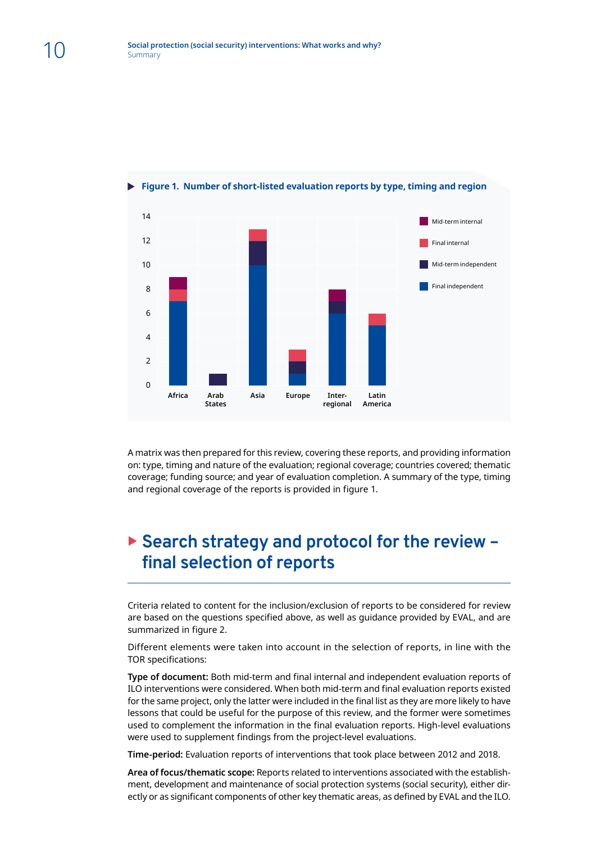

**Figure 1. Number of short-listed evaluation reports by type, timing and region**

A matrix was then prepared for this review, covering these reports, and providing information on: type, timing and nature of the evaluation; regional coverage; countries covered; thematic coverage; funding source; and year of evaluation completion. A summary of the type, timing and regional coverage of the reports is provided in figure 1.

#### ▶ Search strategy and protocol for the review **final selection of reports**

Criteria related to content for the inclusion/exclusion of reports to be considered for review are based on the questions specified above, as well as guidance provided by EVAL, and are summarized in figure 2.

Different elements were taken into account in the selection of reports, in line with the TOR specifications:

**Type of document:** Both mid-term and final internal and independent evaluation reports of ILO interventions were considered. When both mid-term and final evaluation reports existed for the same project, only the latter were included in the final list as they are more likely to have lessons that could be useful for the purpose of this review, and the former were sometimes used to complement the information in the final evaluation reports. High-level evaluations were used to supplement findings from the project-level evaluations.

**Time-period:** Evaluation reports of interventions that took place between 2012 and 2018.

**Area of focus/thematic scope:** Reports related to interventions associated with the establishment, development and maintenance of social protection systems (social security), either directly or as significant components of other key thematic areas, as defined by EVAL and the ILO.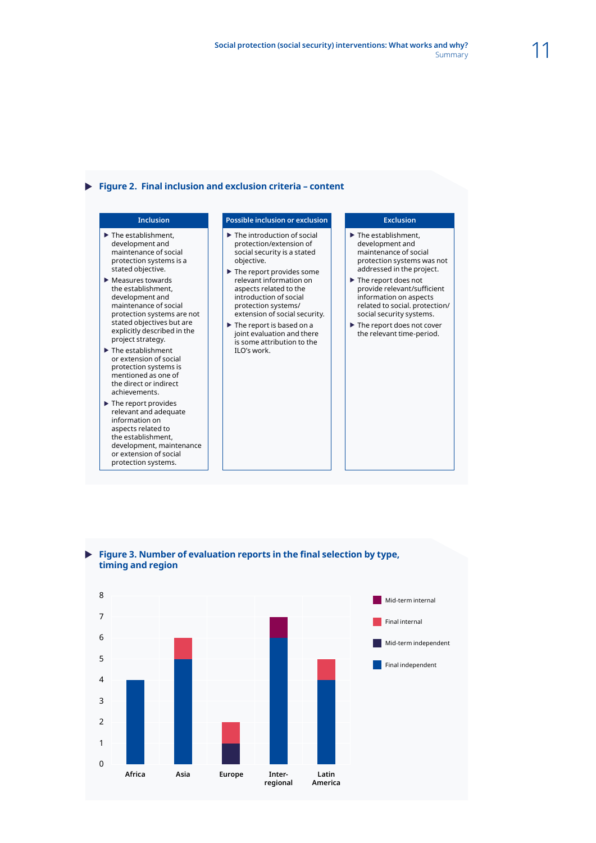#### **Figure 2. Final inclusion and exclusion criteria – content**

- $\blacktriangleright$  The establishment, development and maintenance of social protection systems is a stated objective.
- $\blacktriangleright$  Measures towards the establishment, development and maintenance of social protection systems are not stated objectives but are explicitly described in the project strategy.
- $\blacktriangleright$  The establishment or extension of social protection systems is mentioned as one of the direct or indirect achievements.
- $\blacktriangleright$  The report provides relevant and adequate information on aspects related to the establishment, development, maintenance or extension of social protection systems.

#### **Inclusion Possible inclusion or exclusion Exclusion**

- $\blacktriangleright$  The introduction of social protection/extension of social security is a stated objective.
- $\blacktriangleright$  The report provides some relevant information on aspects related to the introduction of social protection systems/ extension of social security.
- $\blacktriangleright$  The report is based on a joint evaluation and there is some attribution to the ILO's work.

- $\blacktriangleright$  The establishment, development and maintenance of social protection systems was not addressed in the project.
- $\blacktriangleright$  The report does not provide relevant/sufficient information on aspects related to social. protection/ social security systems.
- $\blacktriangleright$  The report does not cover the relevant time-period.





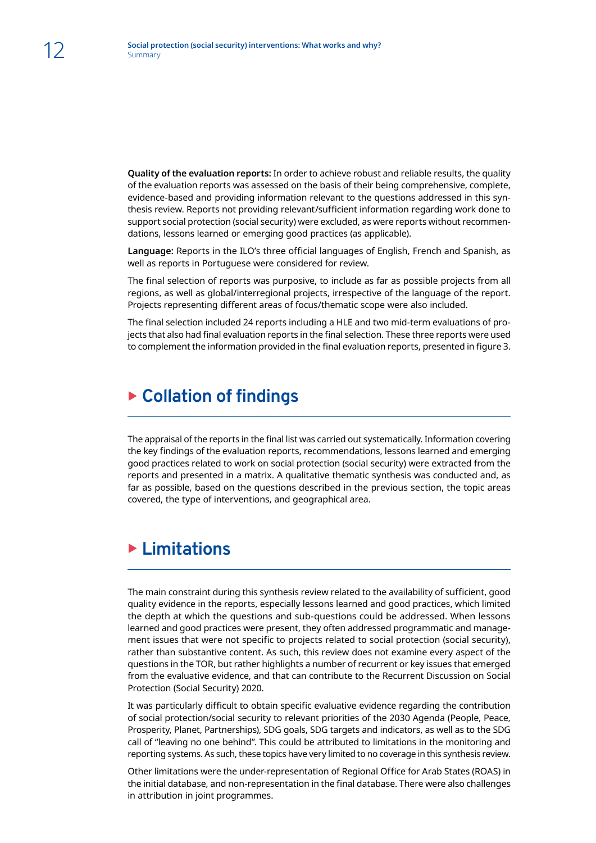**Quality of the evaluation reports:** In order to achieve robust and reliable results, the quality of the evaluation reports was assessed on the basis of their being comprehensive, complete, evidence-based and providing information relevant to the questions addressed in this synthesis review. Reports not providing relevant/sufficient information regarding work done to support social protection (social security) were excluded, as were reports without recommendations, lessons learned or emerging good practices (as applicable).

**Language:** Reports in the ILO's three official languages of English, French and Spanish, as well as reports in Portuguese were considered for review.

The final selection of reports was purposive, to include as far as possible projects from all regions, as well as global/interregional projects, irrespective of the language of the report. Projects representing different areas of focus/thematic scope were also included.

The final selection included 24 reports including a HLE and two mid-term evaluations of projects that also had final evaluation reports in the final selection. These three reports were used to complement the information provided in the final evaluation reports, presented in figure 3.

#### **Example 2 Collation of findings**

The appraisal of the reports in the final list was carried out systematically. Information covering the key findings of the evaluation reports, recommendations, lessons learned and emerging good practices related to work on social protection (social security) were extracted from the reports and presented in a matrix. A qualitative thematic synthesis was conducted and, as far as possible, based on the questions described in the previous section, the topic areas covered, the type of interventions, and geographical area.

#### **Elimitations**

The main constraint during this synthesis review related to the availability of sufficient, good quality evidence in the reports, especially lessons learned and good practices, which limited the depth at which the questions and sub-questions could be addressed. When lessons learned and good practices were present, they often addressed programmatic and management issues that were not specific to projects related to social protection (social security), rather than substantive content. As such, this review does not examine every aspect of the questions in the TOR, but rather highlights a number of recurrent or key issues that emerged from the evaluative evidence, and that can contribute to the Recurrent Discussion on Social Protection (Social Security) 2020.

It was particularly difficult to obtain specific evaluative evidence regarding the contribution of social protection/social security to relevant priorities of the 2030 Agenda (People, Peace, Prosperity, Planet, Partnerships), SDG goals, SDG targets and indicators, as well as to the SDG call of "leaving no one behind". This could be attributed to limitations in the monitoring and reporting systems. As such, these topics have very limited to no coverage in this synthesis review.

Other limitations were the under-representation of Regional Office for Arab States (ROAS) in the initial database, and non-representation in the final database. There were also challenges in attribution in joint programmes.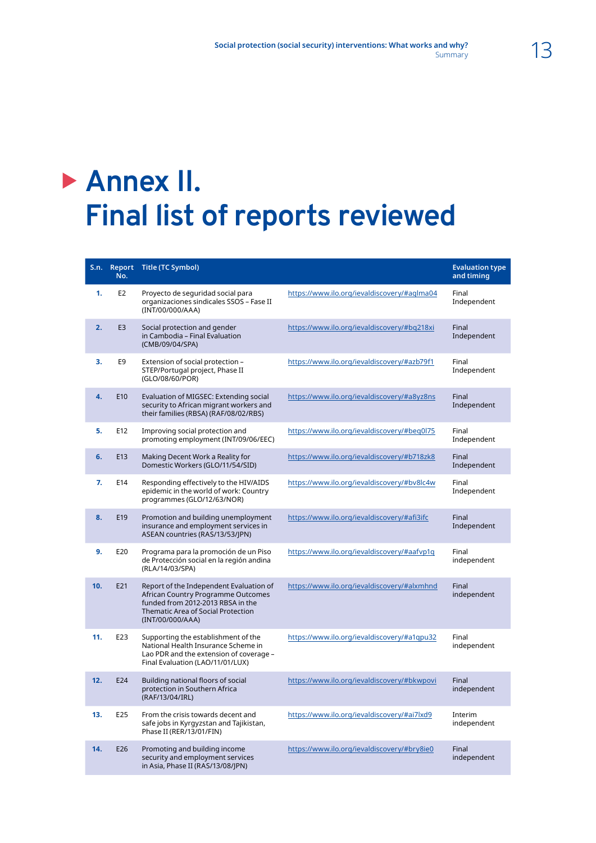# **Annex II. Final list of reports reviewed**

| S.n. | No.            | Report Title (TC Symbol)                                                                                                                                                            |                                             | <b>Evaluation type</b><br>and timing |
|------|----------------|-------------------------------------------------------------------------------------------------------------------------------------------------------------------------------------|---------------------------------------------|--------------------------------------|
| 1.   | E <sub>2</sub> | Proyecto de seguridad social para<br>organizaciones sindicales SSOS - Fase II<br>(INT/00/000/AAA)                                                                                   | https://www.ilo.org/ievaldiscovery/#aglma04 | Final<br>Independent                 |
| 2.   | E <sub>3</sub> | Social protection and gender<br>in Cambodia - Final Evaluation<br>(CMB/09/04/SPA)                                                                                                   | https://www.ilo.org/ievaldiscovery/#bq218xi | Final<br>Independent                 |
| 3.   | E <sub>9</sub> | Extension of social protection -<br>STEP/Portugal project, Phase II<br>(GLO/08/60/POR)                                                                                              | https://www.ilo.org/ievaldiscovery/#azb79f1 | Final<br>Independent                 |
| 4.   | E10            | Evaluation of MIGSEC: Extending social<br>security to African migrant workers and<br>their families (RBSA) (RAF/08/02/RBS)                                                          | https://www.ilo.org/ievaldiscovery/#a8yz8ns | Final<br>Independent                 |
| 5.   | E12            | Improving social protection and<br>promoting employment (INT/09/06/EEC)                                                                                                             | https://www.ilo.org/ievaldiscovery/#beq0l75 | Final<br>Independent                 |
| 6.   | E13            | Making Decent Work a Reality for<br>Domestic Workers (GLO/11/54/SID)                                                                                                                | https://www.ilo.org/ievaldiscovery/#b718zk8 | Final<br>Independent                 |
| 7.   | E14            | Responding effectively to the HIV/AIDS<br>epidemic in the world of work: Country<br>programmes (GLO/12/63/NOR)                                                                      | https://www.ilo.org/ievaldiscovery/#bv8lc4w | Final<br>Independent                 |
| 8.   | E19            | Promotion and building unemployment<br>insurance and employment services in<br>ASEAN countries (RAS/13/53/JPN)                                                                      | https://www.ilo.org/ievaldiscovery/#afi3ifc | Final<br>Independent                 |
| 9.   | E20            | Programa para la promoción de un Piso<br>de Protección social en la región andina<br>(RLA/14/03/SPA)                                                                                | https://www.ilo.org/ievaldiscovery/#aafvp1q | Final<br>independent                 |
| 10.  | E21            | Report of the Independent Evaluation of<br>African Country Programme Outcomes<br>funded from 2012-2013 RBSA in the<br><b>Thematic Area of Social Protection</b><br>(INT/00/000/AAA) | https://www.ilo.org/ievaldiscovery/#alxmhnd | Final<br>independent                 |
| 11.  | E23            | Supporting the establishment of the<br>National Health Insurance Scheme in<br>Lao PDR and the extension of coverage -<br>Final Evaluation (LAO/11/01/LUX)                           | https://www.ilo.org/ievaldiscovery/#a1qpu32 | Final<br>independent                 |
| 12.  | E24            | Building national floors of social<br>protection in Southern Africa<br>(RAF/13/04/IRL)                                                                                              | https://www.ilo.org/ievaldiscovery/#bkwpovi | Final<br>independent                 |
| 13.  | E25            | From the crisis towards decent and<br>safe jobs in Kyrgyzstan and Tajikistan,<br>Phase II (RER/13/01/FIN)                                                                           | https://www.ilo.org/ievaldiscovery/#ai7lxd9 | Interim<br>independent               |
| 14.  | E26            | Promoting and building income<br>security and employment services<br>in Asia, Phase II (RAS/13/08/JPN)                                                                              | https://www.ilo.org/ievaldiscovery/#bry8ie0 | Final<br>independent                 |